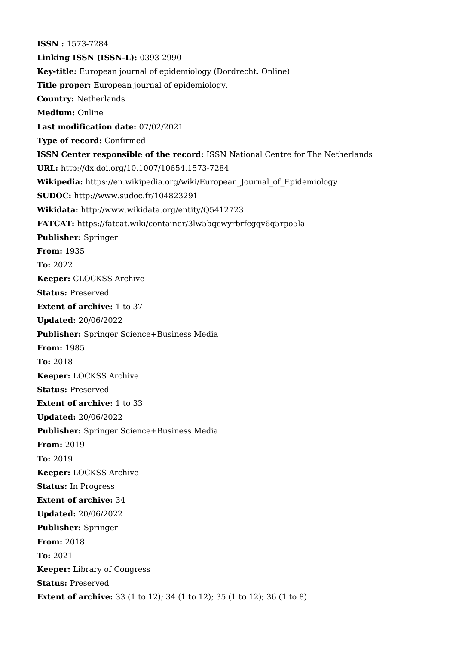**ISSN :** 1573-7284 **Linking ISSN (ISSN-L):** 0393-2990 **Key-title:** European journal of epidemiology (Dordrecht. Online) **Title proper:** European journal of epidemiology. **Country:** Netherlands **Medium:** Online **Last modification date:** 07/02/2021 **Type of record:** Confirmed **ISSN Center responsible of the record:** ISSN National Centre for The Netherlands **URL:** <http://dx.doi.org/10.1007/10654.1573-7284> **Wikipedia:** [https://en.wikipedia.org/wiki/European\\_Journal\\_of\\_Epidemiology](https://en.wikipedia.org/wiki/European_Journal_of_Epidemiology) **SUDOC:** <http://www.sudoc.fr/104823291> **Wikidata:** <http://www.wikidata.org/entity/Q5412723> **FATCAT:** <https://fatcat.wiki/container/3lw5bqcwyrbrfcgqv6q5rpo5la> **Publisher:** Springer **From:** 1935 **To:** 2022 **Keeper:** CLOCKSS Archive **Status:** Preserved **Extent of archive:** 1 to 37 **Updated:** 20/06/2022 **Publisher:** Springer Science+Business Media **From:** 1985 **To:** 2018 **Keeper:** LOCKSS Archive **Status:** Preserved **Extent of archive:** 1 to 33 **Updated:** 20/06/2022 **Publisher:** Springer Science+Business Media **From:** 2019 **To:** 2019 **Keeper:** LOCKSS Archive **Status:** In Progress **Extent of archive:** 34 **Updated:** 20/06/2022 **Publisher:** Springer **From:** 2018 **To:** 2021 **Keeper:** Library of Congress **Status:** Preserved **Extent of archive:** 33 (1 to 12); 34 (1 to 12); 35 (1 to 12); 36 (1 to 8)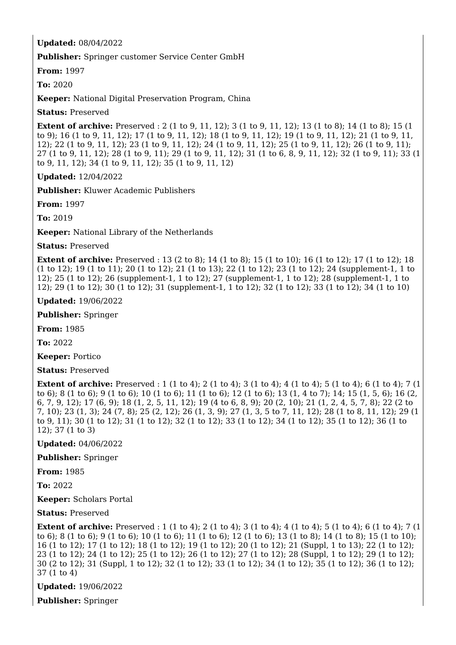## **Updated:** 08/04/2022

**Publisher:** Springer customer Service Center GmbH

**From:** 1997

**To:** 2020

**Keeper:** National Digital Preservation Program, China

**Status:** Preserved

**Extent of archive:** Preserved : 2 (1 to 9, 11, 12); 3 (1 to 9, 11, 12); 13 (1 to 8); 14 (1 to 8); 15 (1) to 9); 16 (1 to 9, 11, 12); 17 (1 to 9, 11, 12); 18 (1 to 9, 11, 12); 19 (1 to 9, 11, 12); 21 (1 to 9, 11, 12); 22 (1 to 9, 11, 12); 23 (1 to 9, 11, 12); 24 (1 to 9, 11, 12); 25 (1 to 9, 11, 12); 26 (1 to 9, 11); 27 (1 to 9, 11, 12); 28 (1 to 9, 11); 29 (1 to 9, 11, 12); 31 (1 to 6, 8, 9, 11, 12); 32 (1 to 9, 11); 33 (1 to 9, 11, 12); 34 (1 to 9, 11, 12); 35 (1 to 9, 11, 12)

**Updated:** 12/04/2022

**Publisher:** Kluwer Academic Publishers

**From:** 1997

**To:** 2019

**Keeper:** National Library of the Netherlands

**Status:** Preserved

**Extent of archive:** Preserved : 13 (2 to 8); 14 (1 to 8); 15 (1 to 10); 16 (1 to 12); 17 (1 to 12); 18 (1 to 12); 19 (1 to 11); 20 (1 to 12); 21 (1 to 13); 22 (1 to 12); 23 (1 to 12); 24 (supplement-1, 1 to 12); 25 (1 to 12); 26 (supplement-1, 1 to 12); 27 (supplement-1, 1 to 12); 28 (supplement-1, 1 to 12); 29 (1 to 12); 30 (1 to 12); 31 (supplement-1, 1 to 12); 32 (1 to 12); 33 (1 to 12); 34 (1 to 10)

**Updated:** 19/06/2022

**Publisher:** Springer

**From:** 1985

**To:** 2022

**Keeper:** Portico

**Status:** Preserved

**Extent of archive:** Preserved : 1 (1 to 4); 2 (1 to 4); 3 (1 to 4); 4 (1 to 4); 5 (1 to 4); 6 (1 to 4); 7 (1 to 6); 8 (1 to 6); 9 (1 to 6); 10 (1 to 6); 11 (1 to 6); 12 (1 to 6); 13 (1, 4 to 7); 14; 15 (1, 5, 6); 16 (2, 6, 7, 9, 12); 17 (6, 9); 18 (1, 2, 5, 11, 12); 19 (4 to 6, 8, 9); 20 (2, 10); 21 (1, 2, 4, 5, 7, 8); 22 (2 to 7, 10); 23 (1, 3); 24 (7, 8); 25 (2, 12); 26 (1, 3, 9); 27 (1, 3, 5 to 7, 11, 12); 28 (1 to 8, 11, 12); 29 (1 to 9, 11); 30 (1 to 12); 31 (1 to 12); 32 (1 to 12); 33 (1 to 12); 34 (1 to 12); 35 (1 to 12); 36 (1 to 12); 37 (1 to 3)

**Updated:** 04/06/2022

**Publisher:** Springer

**From:** 1985

**To:** 2022

**Keeper:** Scholars Portal

**Status:** Preserved

**Extent of archive:** Preserved : 1 (1 to 4); 2 (1 to 4); 3 (1 to 4); 4 (1 to 4); 5 (1 to 4); 6 (1 to 4); 7 (1 to 6); 8 (1 to 6); 9 (1 to 6); 10 (1 to 6); 11 (1 to 6); 12 (1 to 6); 13 (1 to 8); 14 (1 to 8); 15 (1 to 10); 16 (1 to 12); 17 (1 to 12); 18 (1 to 12); 19 (1 to 12); 20 (1 to 12); 21 (Suppl, 1 to 13); 22 (1 to 12); 23 (1 to 12); 24 (1 to 12); 25 (1 to 12); 26 (1 to 12); 27 (1 to 12); 28 (Suppl, 1 to 12); 29 (1 to 12); 30 (2 to 12); 31 (Suppl, 1 to 12); 32 (1 to 12); 33 (1 to 12); 34 (1 to 12); 35 (1 to 12); 36 (1 to 12); 37 (1 to 4)

**Updated:** 19/06/2022

**Publisher:** Springer